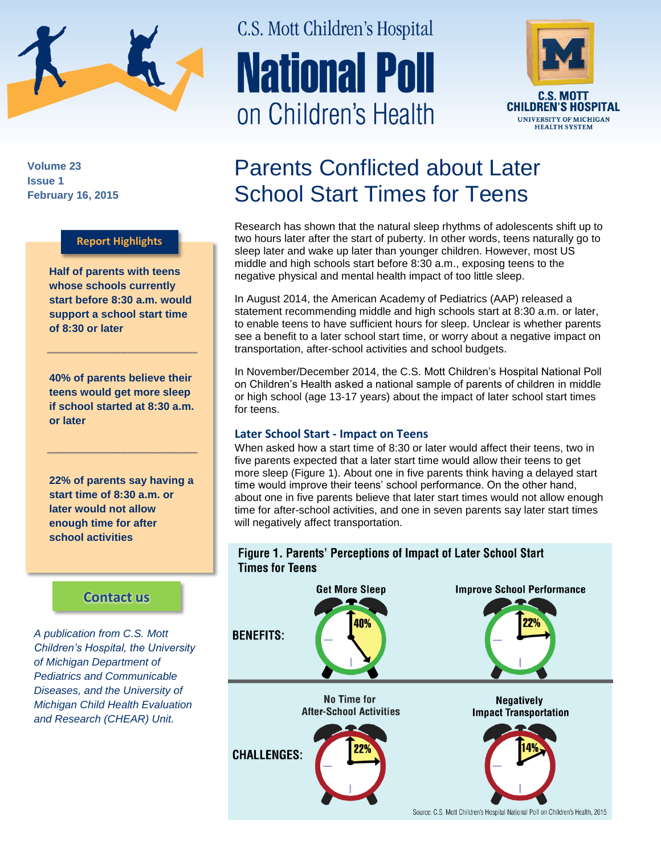

**Volume 23 Issue 1 February 16, 2015**

#### **Report Highlights**

**Half of parents with teens whose schools currently start before 8:30 a.m. would support a school start time of 8:30 or later**

**40% of parents believe their teens would get more sleep if school started at 8:30 a.m. or later**

**22% of parents say having a start time of 8:30 a.m. or later would not allow enough time for after school activities**

### **[Contact us](http://mottnpch.org/contact)**

*A publication from C.S. Mott Children's Hospital, the University of Michigan Department of Pediatrics and Communicable Diseases, and the University of Michigan Child Health Evaluation and Research (CHEAR) Unit.*

# C.S. Mott Children's Hospital **National Poll** on Children's Health



## Parents Conflicted about Later School Start Times for Teens

Research has shown that the natural sleep rhythms of adolescents shift up to two hours later after the start of puberty. In other words, teens naturally go to sleep later and wake up later than younger children. However, most US middle and high schools start before 8:30 a.m., exposing teens to the negative physical and mental health impact of too little sleep.

In August 2014, the American Academy of Pediatrics (AAP) released a statement recommending middle and high schools start at 8:30 a.m. or later, to enable teens to have sufficient hours for sleep. Unclear is whether parents see a benefit to a later school start time, or worry about a negative impact on transportation, after-school activities and school budgets.

In November/December 2014, the C.S. Mott Children's Hospital National Poll on Children's Health asked a national sample of parents of children in middle or high school (age 13-17 years) about the impact of later school start times for teens.

#### **Later School Start - Impact on Teens**

When asked how a start time of 8:30 or later would affect their teens, two in five parents expected that a later start time would allow their teens to get more sleep (Figure 1). About one in five parents think having a delayed start time would improve their teens' school performance. On the other hand, about one in five parents believe that later start times would not allow enough time for after-school activities, and one in seven parents say later start times will negatively affect transportation.

#### Figure 1. Parents' Perceptions of Impact of Later School Start **Times for Teens**